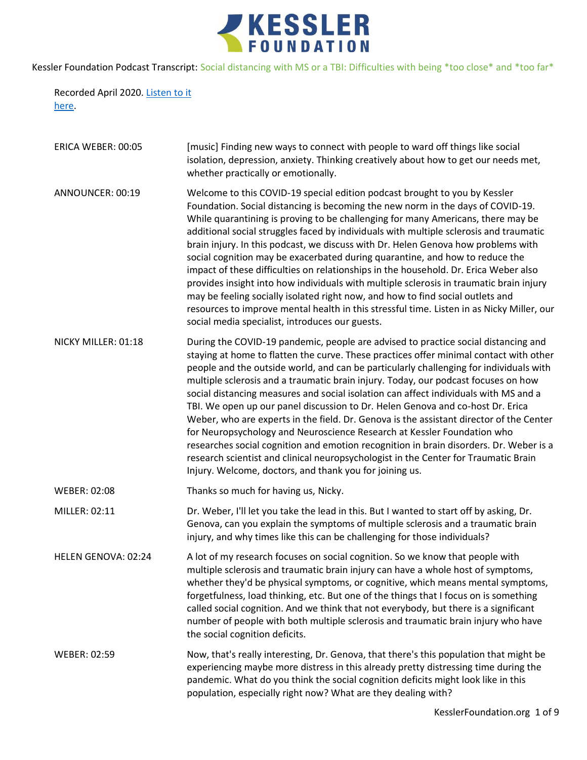

Recorded April 2020. [Listen to it](https://soundcloud.com/kesslerfoundation/social-distancing-with-ms-or-a-tbi)  [here.](https://soundcloud.com/kesslerfoundation/social-distancing-with-ms-or-a-tbi)

| ERICA WEBER: 00:05  | [music] Finding new ways to connect with people to ward off things like social<br>isolation, depression, anxiety. Thinking creatively about how to get our needs met,<br>whether practically or emotionally.                                                                                                                                                                                                                                                                                                                                                                                                                                                                                                                                                                                                                                                                                                                                             |
|---------------------|----------------------------------------------------------------------------------------------------------------------------------------------------------------------------------------------------------------------------------------------------------------------------------------------------------------------------------------------------------------------------------------------------------------------------------------------------------------------------------------------------------------------------------------------------------------------------------------------------------------------------------------------------------------------------------------------------------------------------------------------------------------------------------------------------------------------------------------------------------------------------------------------------------------------------------------------------------|
| ANNOUNCER: 00:19    | Welcome to this COVID-19 special edition podcast brought to you by Kessler<br>Foundation. Social distancing is becoming the new norm in the days of COVID-19.<br>While quarantining is proving to be challenging for many Americans, there may be<br>additional social struggles faced by individuals with multiple sclerosis and traumatic<br>brain injury. In this podcast, we discuss with Dr. Helen Genova how problems with<br>social cognition may be exacerbated during quarantine, and how to reduce the<br>impact of these difficulties on relationships in the household. Dr. Erica Weber also<br>provides insight into how individuals with multiple sclerosis in traumatic brain injury<br>may be feeling socially isolated right now, and how to find social outlets and<br>resources to improve mental health in this stressful time. Listen in as Nicky Miller, our<br>social media specialist, introduces our guests.                    |
| NICKY MILLER: 01:18 | During the COVID-19 pandemic, people are advised to practice social distancing and<br>staying at home to flatten the curve. These practices offer minimal contact with other<br>people and the outside world, and can be particularly challenging for individuals with<br>multiple sclerosis and a traumatic brain injury. Today, our podcast focuses on how<br>social distancing measures and social isolation can affect individuals with MS and a<br>TBI. We open up our panel discussion to Dr. Helen Genova and co-host Dr. Erica<br>Weber, who are experts in the field. Dr. Genova is the assistant director of the Center<br>for Neuropsychology and Neuroscience Research at Kessler Foundation who<br>researches social cognition and emotion recognition in brain disorders. Dr. Weber is a<br>research scientist and clinical neuropsychologist in the Center for Traumatic Brain<br>Injury. Welcome, doctors, and thank you for joining us. |
| <b>WEBER: 02:08</b> | Thanks so much for having us, Nicky.                                                                                                                                                                                                                                                                                                                                                                                                                                                                                                                                                                                                                                                                                                                                                                                                                                                                                                                     |
| MILLER: 02:11       | Dr. Weber, I'll let you take the lead in this. But I wanted to start off by asking, Dr.<br>Genova, can you explain the symptoms of multiple sclerosis and a traumatic brain<br>injury, and why times like this can be challenging for those individuals?                                                                                                                                                                                                                                                                                                                                                                                                                                                                                                                                                                                                                                                                                                 |
| HELEN GENOVA: 02:24 | A lot of my research focuses on social cognition. So we know that people with<br>multiple sclerosis and traumatic brain injury can have a whole host of symptoms,<br>whether they'd be physical symptoms, or cognitive, which means mental symptoms,<br>forgetfulness, load thinking, etc. But one of the things that I focus on is something<br>called social cognition. And we think that not everybody, but there is a significant<br>number of people with both multiple sclerosis and traumatic brain injury who have<br>the social cognition deficits.                                                                                                                                                                                                                                                                                                                                                                                             |
| <b>WEBER: 02:59</b> | Now, that's really interesting, Dr. Genova, that there's this population that might be<br>experiencing maybe more distress in this already pretty distressing time during the<br>pandemic. What do you think the social cognition deficits might look like in this<br>population, especially right now? What are they dealing with?                                                                                                                                                                                                                                                                                                                                                                                                                                                                                                                                                                                                                      |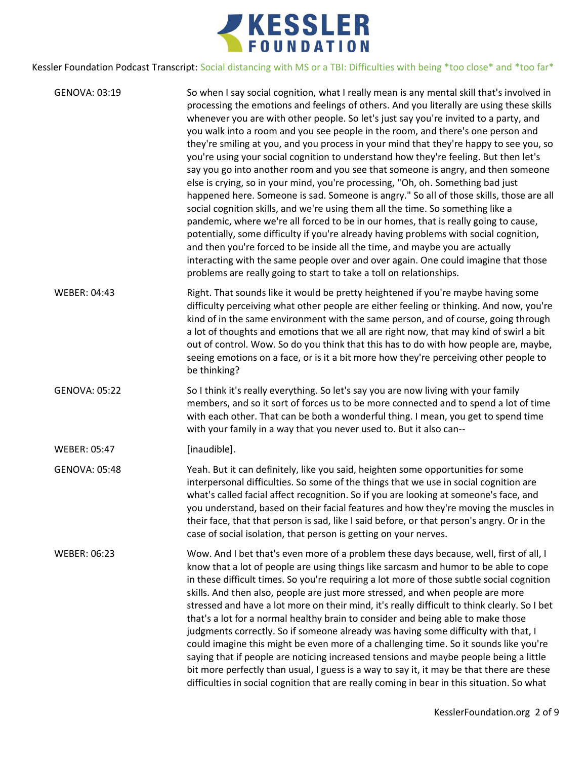

| GENOVA: 03:19        | So when I say social cognition, what I really mean is any mental skill that's involved in<br>processing the emotions and feelings of others. And you literally are using these skills<br>whenever you are with other people. So let's just say you're invited to a party, and<br>you walk into a room and you see people in the room, and there's one person and<br>they're smiling at you, and you process in your mind that they're happy to see you, so<br>you're using your social cognition to understand how they're feeling. But then let's<br>say you go into another room and you see that someone is angry, and then someone<br>else is crying, so in your mind, you're processing, "Oh, oh. Something bad just<br>happened here. Someone is sad. Someone is angry." So all of those skills, those are all<br>social cognition skills, and we're using them all the time. So something like a<br>pandemic, where we're all forced to be in our homes, that is really going to cause,<br>potentially, some difficulty if you're already having problems with social cognition,<br>and then you're forced to be inside all the time, and maybe you are actually<br>interacting with the same people over and over again. One could imagine that those<br>problems are really going to start to take a toll on relationships. |
|----------------------|--------------------------------------------------------------------------------------------------------------------------------------------------------------------------------------------------------------------------------------------------------------------------------------------------------------------------------------------------------------------------------------------------------------------------------------------------------------------------------------------------------------------------------------------------------------------------------------------------------------------------------------------------------------------------------------------------------------------------------------------------------------------------------------------------------------------------------------------------------------------------------------------------------------------------------------------------------------------------------------------------------------------------------------------------------------------------------------------------------------------------------------------------------------------------------------------------------------------------------------------------------------------------------------------------------------------------------------|
| <b>WEBER: 04:43</b>  | Right. That sounds like it would be pretty heightened if you're maybe having some<br>difficulty perceiving what other people are either feeling or thinking. And now, you're<br>kind of in the same environment with the same person, and of course, going through<br>a lot of thoughts and emotions that we all are right now, that may kind of swirl a bit<br>out of control. Wow. So do you think that this has to do with how people are, maybe,<br>seeing emotions on a face, or is it a bit more how they're perceiving other people to<br>be thinking?                                                                                                                                                                                                                                                                                                                                                                                                                                                                                                                                                                                                                                                                                                                                                                        |
| <b>GENOVA: 05:22</b> | So I think it's really everything. So let's say you are now living with your family<br>members, and so it sort of forces us to be more connected and to spend a lot of time<br>with each other. That can be both a wonderful thing. I mean, you get to spend time<br>with your family in a way that you never used to. But it also can--                                                                                                                                                                                                                                                                                                                                                                                                                                                                                                                                                                                                                                                                                                                                                                                                                                                                                                                                                                                             |
| WEBER: 05:47         | [inaudible].                                                                                                                                                                                                                                                                                                                                                                                                                                                                                                                                                                                                                                                                                                                                                                                                                                                                                                                                                                                                                                                                                                                                                                                                                                                                                                                         |
| <b>GENOVA: 05:48</b> | Yeah. But it can definitely, like you said, heighten some opportunities for some<br>interpersonal difficulties. So some of the things that we use in social cognition are<br>what's called facial affect recognition. So if you are looking at someone's face, and<br>you understand, based on their facial features and how they're moving the muscles in<br>their face, that that person is sad, like I said before, or that person's angry. Or in the<br>case of social isolation, that person is getting on your nerves.                                                                                                                                                                                                                                                                                                                                                                                                                                                                                                                                                                                                                                                                                                                                                                                                         |
| <b>WEBER: 06:23</b>  | Wow. And I bet that's even more of a problem these days because, well, first of all, I<br>know that a lot of people are using things like sarcasm and humor to be able to cope<br>in these difficult times. So you're requiring a lot more of those subtle social cognition<br>skills. And then also, people are just more stressed, and when people are more<br>stressed and have a lot more on their mind, it's really difficult to think clearly. So I bet<br>that's a lot for a normal healthy brain to consider and being able to make those<br>judgments correctly. So if someone already was having some difficulty with that, I<br>could imagine this might be even more of a challenging time. So it sounds like you're<br>saying that if people are noticing increased tensions and maybe people being a little<br>bit more perfectly than usual, I guess is a way to say it, it may be that there are these<br>difficulties in social cognition that are really coming in bear in this situation. So what                                                                                                                                                                                                                                                                                                                 |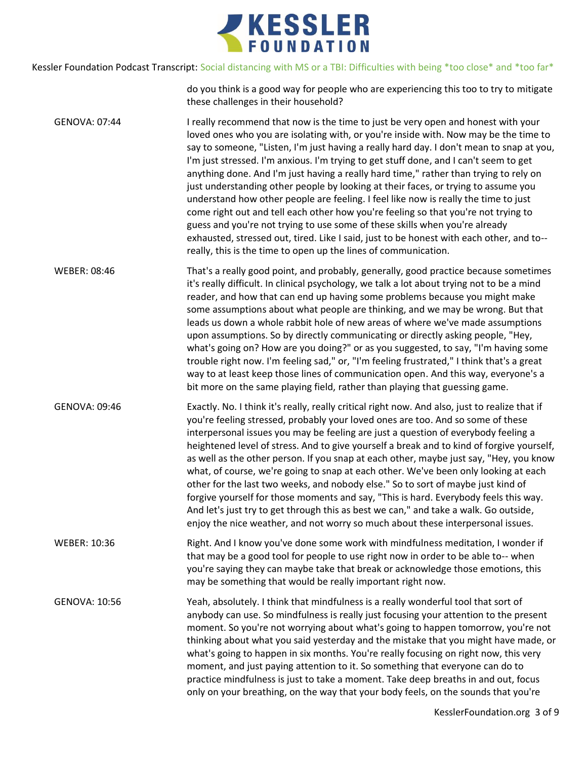

do you think is a good way for people who are experiencing this too to try to mitigate these challenges in their household?

GENOVA: 07:44 I really recommend that now is the time to just be very open and honest with your loved ones who you are isolating with, or you're inside with. Now may be the time to say to someone, "Listen, I'm just having a really hard day. I don't mean to snap at you, I'm just stressed. I'm anxious. I'm trying to get stuff done, and I can't seem to get anything done. And I'm just having a really hard time," rather than trying to rely on just understanding other people by looking at their faces, or trying to assume you understand how other people are feeling. I feel like now is really the time to just come right out and tell each other how you're feeling so that you're not trying to guess and you're not trying to use some of these skills when you're already exhausted, stressed out, tired. Like I said, just to be honest with each other, and to- really, this is the time to open up the lines of communication.

WEBER: 08:46 That's a really good point, and probably, generally, good practice because sometimes it's really difficult. In clinical psychology, we talk a lot about trying not to be a mind reader, and how that can end up having some problems because you might make some assumptions about what people are thinking, and we may be wrong. But that leads us down a whole rabbit hole of new areas of where we've made assumptions upon assumptions. So by directly communicating or directly asking people, "Hey, what's going on? How are you doing?" or as you suggested, to say, "I'm having some trouble right now. I'm feeling sad," or, "I'm feeling frustrated," I think that's a great way to at least keep those lines of communication open. And this way, everyone's a bit more on the same playing field, rather than playing that guessing game.

GENOVA: 09:46 Exactly. No. I think it's really, really critical right now. And also, just to realize that if you're feeling stressed, probably your loved ones are too. And so some of these interpersonal issues you may be feeling are just a question of everybody feeling a heightened level of stress. And to give yourself a break and to kind of forgive yourself, as well as the other person. If you snap at each other, maybe just say, "Hey, you know what, of course, we're going to snap at each other. We've been only looking at each other for the last two weeks, and nobody else." So to sort of maybe just kind of forgive yourself for those moments and say, "This is hard. Everybody feels this way. And let's just try to get through this as best we can," and take a walk. Go outside, enjoy the nice weather, and not worry so much about these interpersonal issues.

WEBER: 10:36 Right. And I know you've done some work with mindfulness meditation, I wonder if that may be a good tool for people to use right now in order to be able to-- when you're saying they can maybe take that break or acknowledge those emotions, this may be something that would be really important right now.

GENOVA: 10:56 Yeah, absolutely. I think that mindfulness is a really wonderful tool that sort of anybody can use. So mindfulness is really just focusing your attention to the present moment. So you're not worrying about what's going to happen tomorrow, you're not thinking about what you said yesterday and the mistake that you might have made, or what's going to happen in six months. You're really focusing on right now, this very moment, and just paying attention to it. So something that everyone can do to practice mindfulness is just to take a moment. Take deep breaths in and out, focus only on your breathing, on the way that your body feels, on the sounds that you're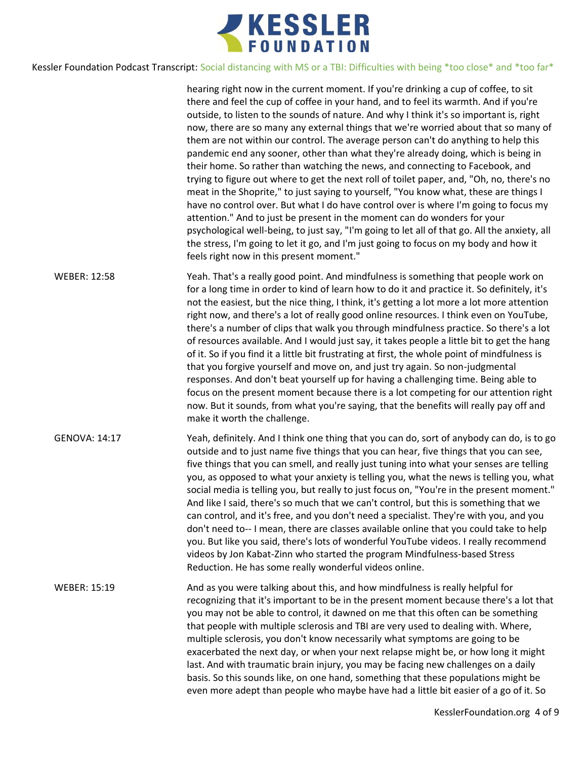

hearing right now in the current moment. If you're drinking a cup of coffee, to sit there and feel the cup of coffee in your hand, and to feel its warmth. And if you're outside, to listen to the sounds of nature. And why I think it's so important is, right now, there are so many any external things that we're worried about that so many of them are not within our control. The average person can't do anything to help this pandemic end any sooner, other than what they're already doing, which is being in their home. So rather than watching the news, and connecting to Facebook, and trying to figure out where to get the next roll of toilet paper, and, "Oh, no, there's no meat in the Shoprite," to just saying to yourself, "You know what, these are things I have no control over. But what I do have control over is where I'm going to focus my attention." And to just be present in the moment can do wonders for your psychological well-being, to just say, "I'm going to let all of that go. All the anxiety, all the stress, I'm going to let it go, and I'm just going to focus on my body and how it feels right now in this present moment."

WEBER: 12:58 Yeah. That's a really good point. And mindfulness is something that people work on for a long time in order to kind of learn how to do it and practice it. So definitely, it's not the easiest, but the nice thing, I think, it's getting a lot more a lot more attention right now, and there's a lot of really good online resources. I think even on YouTube, there's a number of clips that walk you through mindfulness practice. So there's a lot of resources available. And I would just say, it takes people a little bit to get the hang of it. So if you find it a little bit frustrating at first, the whole point of mindfulness is that you forgive yourself and move on, and just try again. So non-judgmental responses. And don't beat yourself up for having a challenging time. Being able to focus on the present moment because there is a lot competing for our attention right now. But it sounds, from what you're saying, that the benefits will really pay off and make it worth the challenge.

GENOVA: 14:17 Yeah, definitely. And I think one thing that you can do, sort of anybody can do, is to go outside and to just name five things that you can hear, five things that you can see, five things that you can smell, and really just tuning into what your senses are telling you, as opposed to what your anxiety is telling you, what the news is telling you, what social media is telling you, but really to just focus on, "You're in the present moment." And like I said, there's so much that we can't control, but this is something that we can control, and it's free, and you don't need a specialist. They're with you, and you don't need to-- I mean, there are classes available online that you could take to help you. But like you said, there's lots of wonderful YouTube videos. I really recommend videos by Jon Kabat-Zinn who started the program Mindfulness-based Stress Reduction. He has some really wonderful videos online.

WEBER: 15:19 And as you were talking about this, and how mindfulness is really helpful for recognizing that it's important to be in the present moment because there's a lot that you may not be able to control, it dawned on me that this often can be something that people with multiple sclerosis and TBI are very used to dealing with. Where, multiple sclerosis, you don't know necessarily what symptoms are going to be exacerbated the next day, or when your next relapse might be, or how long it might last. And with traumatic brain injury, you may be facing new challenges on a daily basis. So this sounds like, on one hand, something that these populations might be even more adept than people who maybe have had a little bit easier of a go of it. So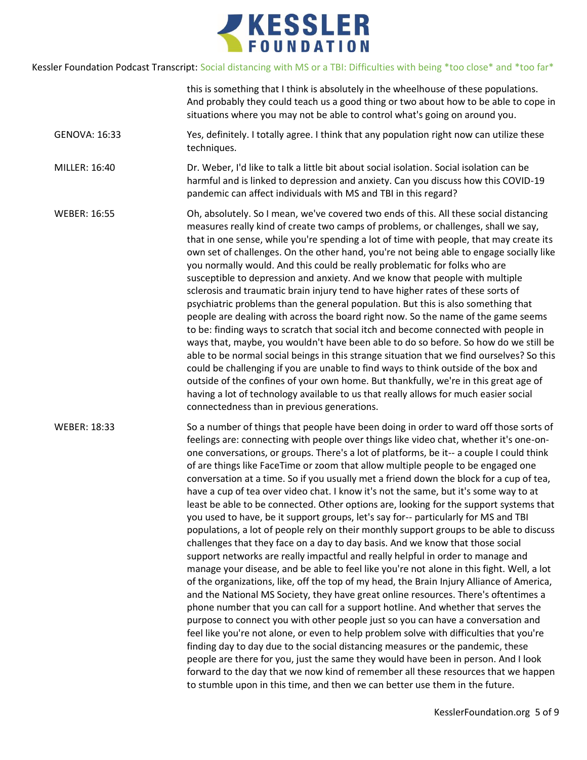

|                     | this is something that I think is absolutely in the wheelhouse of these populations.<br>And probably they could teach us a good thing or two about how to be able to cope in<br>situations where you may not be able to control what's going on around you.                                                                                                                                                                                                                                                                                                                                                                                                                                                                                                                                                                                                                                                                                                                                                                                                                                                                                                                                                                                                                                                                                                                                                                                                                                                                                                                                                                                                                                                                                                                                                                                                                                             |
|---------------------|---------------------------------------------------------------------------------------------------------------------------------------------------------------------------------------------------------------------------------------------------------------------------------------------------------------------------------------------------------------------------------------------------------------------------------------------------------------------------------------------------------------------------------------------------------------------------------------------------------------------------------------------------------------------------------------------------------------------------------------------------------------------------------------------------------------------------------------------------------------------------------------------------------------------------------------------------------------------------------------------------------------------------------------------------------------------------------------------------------------------------------------------------------------------------------------------------------------------------------------------------------------------------------------------------------------------------------------------------------------------------------------------------------------------------------------------------------------------------------------------------------------------------------------------------------------------------------------------------------------------------------------------------------------------------------------------------------------------------------------------------------------------------------------------------------------------------------------------------------------------------------------------------------|
| GENOVA: 16:33       | Yes, definitely. I totally agree. I think that any population right now can utilize these<br>techniques.                                                                                                                                                                                                                                                                                                                                                                                                                                                                                                                                                                                                                                                                                                                                                                                                                                                                                                                                                                                                                                                                                                                                                                                                                                                                                                                                                                                                                                                                                                                                                                                                                                                                                                                                                                                                |
| MILLER: 16:40       | Dr. Weber, I'd like to talk a little bit about social isolation. Social isolation can be<br>harmful and is linked to depression and anxiety. Can you discuss how this COVID-19<br>pandemic can affect individuals with MS and TBI in this regard?                                                                                                                                                                                                                                                                                                                                                                                                                                                                                                                                                                                                                                                                                                                                                                                                                                                                                                                                                                                                                                                                                                                                                                                                                                                                                                                                                                                                                                                                                                                                                                                                                                                       |
| <b>WEBER: 16:55</b> | Oh, absolutely. So I mean, we've covered two ends of this. All these social distancing<br>measures really kind of create two camps of problems, or challenges, shall we say,<br>that in one sense, while you're spending a lot of time with people, that may create its<br>own set of challenges. On the other hand, you're not being able to engage socially like<br>you normally would. And this could be really problematic for folks who are<br>susceptible to depression and anxiety. And we know that people with multiple<br>sclerosis and traumatic brain injury tend to have higher rates of these sorts of<br>psychiatric problems than the general population. But this is also something that<br>people are dealing with across the board right now. So the name of the game seems<br>to be: finding ways to scratch that social itch and become connected with people in<br>ways that, maybe, you wouldn't have been able to do so before. So how do we still be<br>able to be normal social beings in this strange situation that we find ourselves? So this<br>could be challenging if you are unable to find ways to think outside of the box and<br>outside of the confines of your own home. But thankfully, we're in this great age of<br>having a lot of technology available to us that really allows for much easier social<br>connectedness than in previous generations.                                                                                                                                                                                                                                                                                                                                                                                                                                                                                                        |
| <b>WEBER: 18:33</b> | So a number of things that people have been doing in order to ward off those sorts of<br>feelings are: connecting with people over things like video chat, whether it's one-on-<br>one conversations, or groups. There's a lot of platforms, be it-- a couple I could think<br>of are things like FaceTime or zoom that allow multiple people to be engaged one<br>conversation at a time. So if you usually met a friend down the block for a cup of tea,<br>have a cup of tea over video chat. I know it's not the same, but it's some way to at<br>least be able to be connected. Other options are, looking for the support systems that<br>you used to have, be it support groups, let's say for-- particularly for MS and TBI<br>populations, a lot of people rely on their monthly support groups to be able to discuss<br>challenges that they face on a day to day basis. And we know that those social<br>support networks are really impactful and really helpful in order to manage and<br>manage your disease, and be able to feel like you're not alone in this fight. Well, a lot<br>of the organizations, like, off the top of my head, the Brain Injury Alliance of America,<br>and the National MS Society, they have great online resources. There's oftentimes a<br>phone number that you can call for a support hotline. And whether that serves the<br>purpose to connect you with other people just so you can have a conversation and<br>feel like you're not alone, or even to help problem solve with difficulties that you're<br>finding day to day due to the social distancing measures or the pandemic, these<br>people are there for you, just the same they would have been in person. And I look<br>forward to the day that we now kind of remember all these resources that we happen<br>to stumble upon in this time, and then we can better use them in the future. |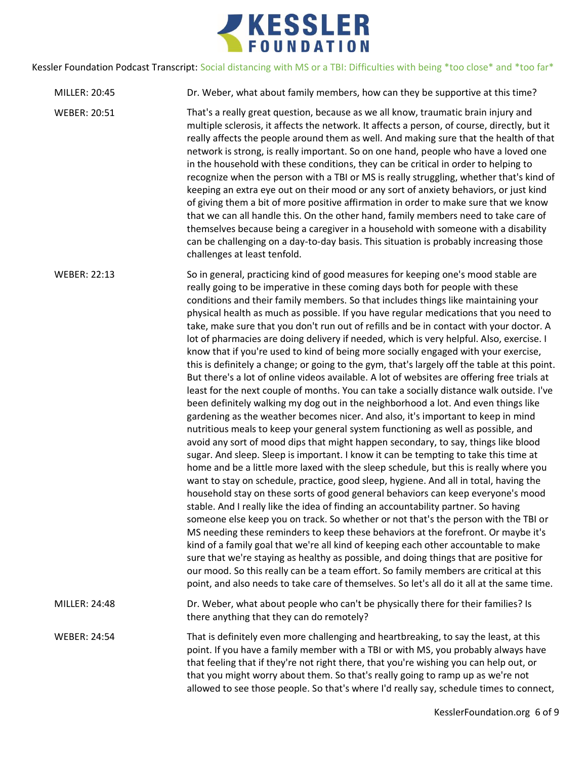

- MILLER: 20:45 Dr. Weber, what about family members, how can they be supportive at this time?
- WEBER: 20:51 That's a really great question, because as we all know, traumatic brain injury and multiple sclerosis, it affects the network. It affects a person, of course, directly, but it really affects the people around them as well. And making sure that the health of that network is strong, is really important. So on one hand, people who have a loved one in the household with these conditions, they can be critical in order to helping to recognize when the person with a TBI or MS is really struggling, whether that's kind of keeping an extra eye out on their mood or any sort of anxiety behaviors, or just kind of giving them a bit of more positive affirmation in order to make sure that we know that we can all handle this. On the other hand, family members need to take care of themselves because being a caregiver in a household with someone with a disability can be challenging on a day-to-day basis. This situation is probably increasing those challenges at least tenfold.

WEBER: 22:13 So in general, practicing kind of good measures for keeping one's mood stable are really going to be imperative in these coming days both for people with these conditions and their family members. So that includes things like maintaining your physical health as much as possible. If you have regular medications that you need to take, make sure that you don't run out of refills and be in contact with your doctor. A lot of pharmacies are doing delivery if needed, which is very helpful. Also, exercise. I know that if you're used to kind of being more socially engaged with your exercise, this is definitely a change; or going to the gym, that's largely off the table at this point. But there's a lot of online videos available. A lot of websites are offering free trials at least for the next couple of months. You can take a socially distance walk outside. I've been definitely walking my dog out in the neighborhood a lot. And even things like gardening as the weather becomes nicer. And also, it's important to keep in mind nutritious meals to keep your general system functioning as well as possible, and avoid any sort of mood dips that might happen secondary, to say, things like blood sugar. And sleep. Sleep is important. I know it can be tempting to take this time at home and be a little more laxed with the sleep schedule, but this is really where you want to stay on schedule, practice, good sleep, hygiene. And all in total, having the household stay on these sorts of good general behaviors can keep everyone's mood stable. And I really like the idea of finding an accountability partner. So having someone else keep you on track. So whether or not that's the person with the TBI or MS needing these reminders to keep these behaviors at the forefront. Or maybe it's kind of a family goal that we're all kind of keeping each other accountable to make sure that we're staying as healthy as possible, and doing things that are positive for our mood. So this really can be a team effort. So family members are critical at this point, and also needs to take care of themselves. So let's all do it all at the same time. MILLER: 24:48 Dr. Weber, what about people who can't be physically there for their families? Is

WEBER: 24:54 That is definitely even more challenging and heartbreaking, to say the least, at this point. If you have a family member with a TBI or with MS, you probably always have that feeling that if they're not right there, that you're wishing you can help out, or that you might worry about them. So that's really going to ramp up as we're not allowed to see those people. So that's where I'd really say, schedule times to connect,

there anything that they can do remotely?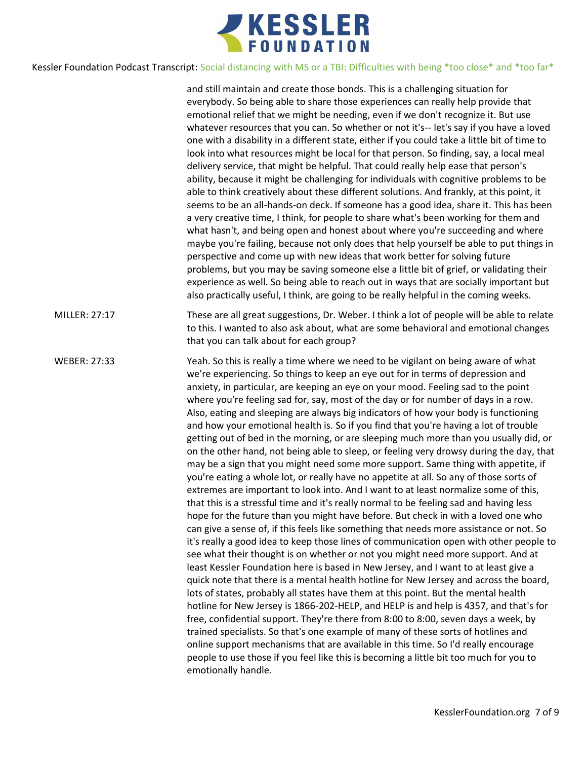

and still maintain and create those bonds. This is a challenging situation for everybody. So being able to share those experiences can really help provide that emotional relief that we might be needing, even if we don't recognize it. But use whatever resources that you can. So whether or not it's-- let's say if you have a loved one with a disability in a different state, either if you could take a little bit of time to look into what resources might be local for that person. So finding, say, a local meal delivery service, that might be helpful. That could really help ease that person's ability, because it might be challenging for individuals with cognitive problems to be able to think creatively about these different solutions. And frankly, at this point, it seems to be an all-hands-on deck. If someone has a good idea, share it. This has been a very creative time, I think, for people to share what's been working for them and what hasn't, and being open and honest about where you're succeeding and where maybe you're failing, because not only does that help yourself be able to put things in perspective and come up with new ideas that work better for solving future problems, but you may be saving someone else a little bit of grief, or validating their experience as well. So being able to reach out in ways that are socially important but also practically useful, I think, are going to be really helpful in the coming weeks. MILLER: 27:17 These are all great suggestions, Dr. Weber. I think a lot of people will be able to relate to this. I wanted to also ask about, what are some behavioral and emotional changes that you can talk about for each group? WEBER: 27:33 Yeah. So this is really a time where we need to be vigilant on being aware of what we're experiencing. So things to keep an eye out for in terms of depression and anxiety, in particular, are keeping an eye on your mood. Feeling sad to the point where you're feeling sad for, say, most of the day or for number of days in a row. Also, eating and sleeping are always big indicators of how your body is functioning and how your emotional health is. So if you find that you're having a lot of trouble getting out of bed in the morning, or are sleeping much more than you usually did, or on the other hand, not being able to sleep, or feeling very drowsy during the day, that may be a sign that you might need some more support. Same thing with appetite, if you're eating a whole lot, or really have no appetite at all. So any of those sorts of extremes are important to look into. And I want to at least normalize some of this, that this is a stressful time and it's really normal to be feeling sad and having less hope for the future than you might have before. But check in with a loved one who can give a sense of, if this feels like something that needs more assistance or not. So it's really a good idea to keep those lines of communication open with other people to see what their thought is on whether or not you might need more support. And at least Kessler Foundation here is based in New Jersey, and I want to at least give a quick note that there is a mental health hotline for New Jersey and across the board, lots of states, probably all states have them at this point. But the mental health hotline for New Jersey is 1866-202-HELP, and HELP is and help is 4357, and that's for free, confidential support. They're there from 8:00 to 8:00, seven days a week, by trained specialists. So that's one example of many of these sorts of hotlines and online support mechanisms that are available in this time. So I'd really encourage people to use those if you feel like this is becoming a little bit too much for you to emotionally handle.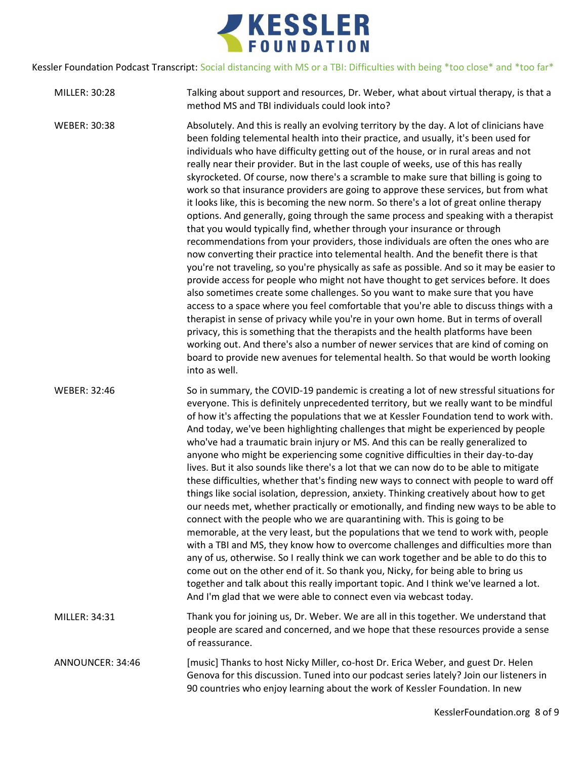

| MILLER: 30:28       | Talking about support and resources, Dr. Weber, what about virtual therapy, is that a<br>method MS and TBI individuals could look into?                                                                                                                                                                                                                                                                                                                                                                                                                                                                                                                                                                                                                                                                                                                                                                                                                                                                                                                                                                                                                                                                                                                                                                                                                                                                                                                                                                                                                                                                                                                                                                                             |
|---------------------|-------------------------------------------------------------------------------------------------------------------------------------------------------------------------------------------------------------------------------------------------------------------------------------------------------------------------------------------------------------------------------------------------------------------------------------------------------------------------------------------------------------------------------------------------------------------------------------------------------------------------------------------------------------------------------------------------------------------------------------------------------------------------------------------------------------------------------------------------------------------------------------------------------------------------------------------------------------------------------------------------------------------------------------------------------------------------------------------------------------------------------------------------------------------------------------------------------------------------------------------------------------------------------------------------------------------------------------------------------------------------------------------------------------------------------------------------------------------------------------------------------------------------------------------------------------------------------------------------------------------------------------------------------------------------------------------------------------------------------------|
| <b>WEBER: 30:38</b> | Absolutely. And this is really an evolving territory by the day. A lot of clinicians have<br>been folding telemental health into their practice, and usually, it's been used for<br>individuals who have difficulty getting out of the house, or in rural areas and not<br>really near their provider. But in the last couple of weeks, use of this has really<br>skyrocketed. Of course, now there's a scramble to make sure that billing is going to<br>work so that insurance providers are going to approve these services, but from what<br>it looks like, this is becoming the new norm. So there's a lot of great online therapy<br>options. And generally, going through the same process and speaking with a therapist<br>that you would typically find, whether through your insurance or through<br>recommendations from your providers, those individuals are often the ones who are<br>now converting their practice into telemental health. And the benefit there is that<br>you're not traveling, so you're physically as safe as possible. And so it may be easier to<br>provide access for people who might not have thought to get services before. It does<br>also sometimes create some challenges. So you want to make sure that you have<br>access to a space where you feel comfortable that you're able to discuss things with a<br>therapist in sense of privacy while you're in your own home. But in terms of overall<br>privacy, this is something that the therapists and the health platforms have been<br>working out. And there's also a number of newer services that are kind of coming on<br>board to provide new avenues for telemental health. So that would be worth looking<br>into as well. |
| <b>WEBER: 32:46</b> | So in summary, the COVID-19 pandemic is creating a lot of new stressful situations for<br>everyone. This is definitely unprecedented territory, but we really want to be mindful<br>of how it's affecting the populations that we at Kessler Foundation tend to work with.<br>And today, we've been highlighting challenges that might be experienced by people<br>who've had a traumatic brain injury or MS. And this can be really generalized to<br>anyone who might be experiencing some cognitive difficulties in their day-to-day<br>lives. But it also sounds like there's a lot that we can now do to be able to mitigate<br>these difficulties, whether that's finding new ways to connect with people to ward off<br>things like social isolation, depression, anxiety. Thinking creatively about how to get<br>our needs met, whether practically or emotionally, and finding new ways to be able to<br>connect with the people who we are quarantining with. This is going to be<br>memorable, at the very least, but the populations that we tend to work with, people<br>with a TBI and MS, they know how to overcome challenges and difficulties more than<br>any of us, otherwise. So I really think we can work together and be able to do this to<br>come out on the other end of it. So thank you, Nicky, for being able to bring us<br>together and talk about this really important topic. And I think we've learned a lot.<br>And I'm glad that we were able to connect even via webcast today.                                                                                                                                                                                                               |
| MILLER: 34:31       | Thank you for joining us, Dr. Weber. We are all in this together. We understand that<br>people are scared and concerned, and we hope that these resources provide a sense<br>of reassurance.                                                                                                                                                                                                                                                                                                                                                                                                                                                                                                                                                                                                                                                                                                                                                                                                                                                                                                                                                                                                                                                                                                                                                                                                                                                                                                                                                                                                                                                                                                                                        |
| ANNOUNCER: 34:46    | [music] Thanks to host Nicky Miller, co-host Dr. Erica Weber, and guest Dr. Helen<br>Genova for this discussion. Tuned into our podcast series lately? Join our listeners in<br>90 countries who enjoy learning about the work of Kessler Foundation. In new                                                                                                                                                                                                                                                                                                                                                                                                                                                                                                                                                                                                                                                                                                                                                                                                                                                                                                                                                                                                                                                                                                                                                                                                                                                                                                                                                                                                                                                                        |